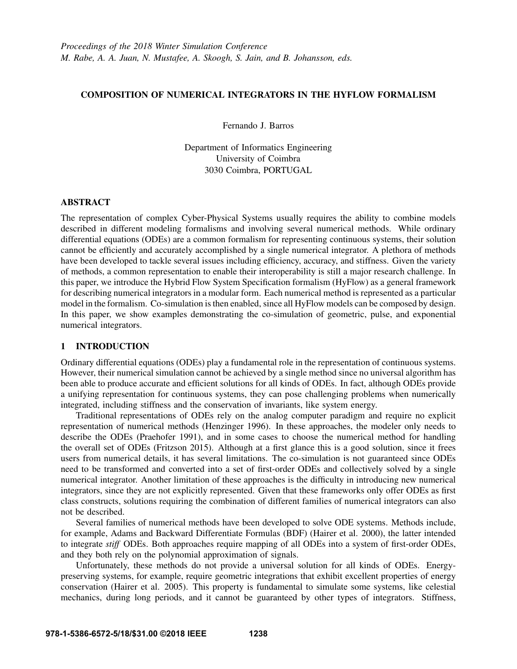# COMPOSITION OF NUMERICAL INTEGRATORS IN THE HYFLOW FORMALISM

Fernando J. Barros

Department of Informatics Engineering University of Coimbra 3030 Coimbra, PORTUGAL

# ABSTRACT

The representation of complex Cyber-Physical Systems usually requires the ability to combine models described in different modeling formalisms and involving several numerical methods. While ordinary differential equations (ODEs) are a common formalism for representing continuous systems, their solution cannot be efficiently and accurately accomplished by a single numerical integrator. A plethora of methods have been developed to tackle several issues including efficiency, accuracy, and stiffness. Given the variety of methods, a common representation to enable their interoperability is still a major research challenge. In this paper, we introduce the Hybrid Flow System Specification formalism (HyFlow) as a general framework for describing numerical integrators in a modular form. Each numerical method is represented as a particular model in the formalism. Co-simulation is then enabled, since all HyFlow models can be composed by design. In this paper, we show examples demonstrating the co-simulation of geometric, pulse, and exponential numerical integrators.

### 1 INTRODUCTION

Ordinary differential equations (ODEs) play a fundamental role in the representation of continuous systems. However, their numerical simulation cannot be achieved by a single method since no universal algorithm has been able to produce accurate and efficient solutions for all kinds of ODEs. In fact, although ODEs provide a unifying representation for continuous systems, they can pose challenging problems when numerically integrated, including stiffness and the conservation of invariants, like system energy.

Traditional representations of ODEs rely on the analog computer paradigm and require no explicit representation of numerical methods (Henzinger 1996). In these approaches, the modeler only needs to describe the ODEs (Praehofer 1991), and in some cases to choose the numerical method for handling the overall set of ODEs (Fritzson 2015). Although at a first glance this is a good solution, since it frees users from numerical details, it has several limitations. The co-simulation is not guaranteed since ODEs need to be transformed and converted into a set of first-order ODEs and collectively solved by a single numerical integrator. Another limitation of these approaches is the difficulty in introducing new numerical integrators, since they are not explicitly represented. Given that these frameworks only offer ODEs as first class constructs, solutions requiring the combination of different families of numerical integrators can also not be described.

Several families of numerical methods have been developed to solve ODE systems. Methods include, for example, Adams and Backward Differentiate Formulas (BDF) (Hairer et al. 2000), the latter intended to integrate *stiff* ODEs. Both approaches require mapping of all ODEs into a system of first-order ODEs, and they both rely on the polynomial approximation of signals.

Unfortunately, these methods do not provide a universal solution for all kinds of ODEs. Energypreserving systems, for example, require geometric integrations that exhibit excellent properties of energy conservation (Hairer et al. 2005). This property is fundamental to simulate some systems, like celestial mechanics, during long periods, and it cannot be guaranteed by other types of integrators. Stiffness,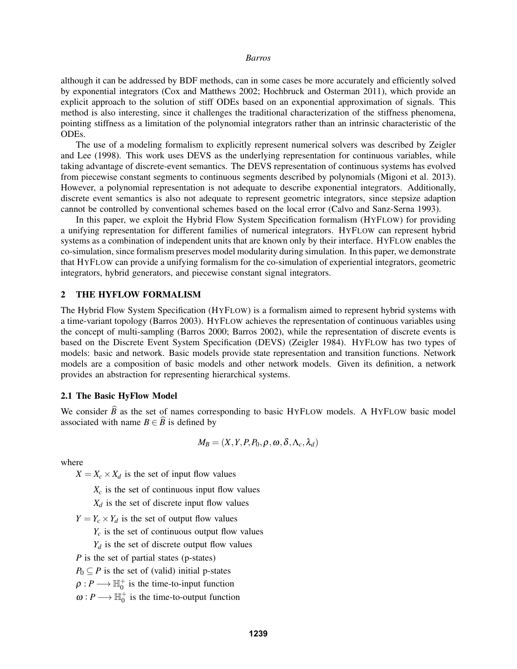although it can be addressed by BDF methods, can in some cases be more accurately and efficiently solved by exponential integrators (Cox and Matthews 2002; Hochbruck and Osterman 2011), which provide an explicit approach to the solution of stiff ODEs based on an exponential approximation of signals. This method is also interesting, since it challenges the traditional characterization of the stiffness phenomena, pointing stiffness as a limitation of the polynomial integrators rather than an intrinsic characteristic of the ODEs.

The use of a modeling formalism to explicitly represent numerical solvers was described by Zeigler and Lee (1998). This work uses DEVS as the underlying representation for continuous variables, while taking advantage of discrete-event semantics. The DEVS representation of continuous systems has evolved from piecewise constant segments to continuous segments described by polynomials (Migoni et al. 2013). However, a polynomial representation is not adequate to describe exponential integrators. Additionally, discrete event semantics is also not adequate to represent geometric integrators, since stepsize adaption cannot be controlled by conventional schemes based on the local error (Calvo and Sanz-Serna 1993).

In this paper, we exploit the Hybrid Flow System Specification formalism (HYFLOW) for providing a unifying representation for different families of numerical integrators. HYFLOW can represent hybrid systems as a combination of independent units that are known only by their interface. HYFLOW enables the co-simulation, since formalism preserves model modularity during simulation. In this paper, we demonstrate that HYFLOW can provide a unifying formalism for the co-simulation of experiential integrators, geometric integrators, hybrid generators, and piecewise constant signal integrators.

### 2 THE HYFLOW FORMALISM

The Hybrid Flow System Specification (HYFLOW) is a formalism aimed to represent hybrid systems with a time-variant topology (Barros 2003). HYFLOW achieves the representation of continuous variables using the concept of multi-sampling (Barros 2000; Barros 2002), while the representation of discrete events is based on the Discrete Event System Specification (DEVS) (Zeigler 1984). HYFLOW has two types of models: basic and network. Basic models provide state representation and transition functions. Network models are a composition of basic models and other network models. Given its definition, a network provides an abstraction for representing hierarchical systems.

### 2.1 The Basic HyFlow Model

We consider  $\hat{B}$  as the set of names corresponding to basic HYFLOW models. A HYFLOW basic model associated with name  $B \in \widehat{B}$  is defined by

$$
M_B = (X, Y, P, P_0, \rho, \omega, \delta, \Lambda_c, \lambda_d)
$$

where

 $X = X_c \times X_d$  is the set of input flow values

 $X_c$  is the set of continuous input flow values

 $X_d$  is the set of discrete input flow values

 $Y = Y_c \times Y_d$  is the set of output flow values

 $Y_c$  is the set of continuous output flow values

 $Y_d$  is the set of discrete output flow values

*P* is the set of partial states (p-states)

 $P_0 \subseteq P$  is the set of (valid) initial p-states

 $\rho: P \longrightarrow \mathbb{H}_0^+$  is the time-to-input function

 $\omega: P \longrightarrow \mathbb{H}_0^+$  is the time-to-output function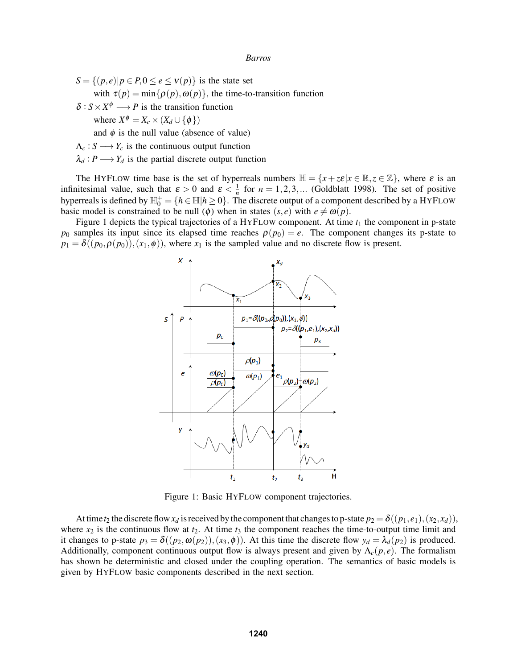$S = \{(p, e) | p \in P, 0 \le e \le v(p) \}$  is the state set with  $\tau(p) = \min{\{\rho(p), \omega(p)\}}$ , the time-to-transition function  $\delta$ :  $S \times X^{\phi} \longrightarrow P$  is the transition function where  $X^{\phi} = X_c \times (X_d \cup {\phi})$ 

and  $\phi$  is the null value (absence of value)

- $\Lambda_c: S \longrightarrow Y_c$  is the continuous output function
- $\lambda_d$ :  $P \longrightarrow Y_d$  is the partial discrete output function

The HYFLOW time base is the set of hyperreals numbers  $\mathbb{H} = \{x + z \epsilon | x \in \mathbb{R}, z \in \mathbb{Z}\}$ , where  $\varepsilon$  is an infinitesimal value, such that  $\varepsilon > 0$  and  $\varepsilon < \frac{1}{n}$  for  $n = 1, 2, 3, ...$  (Goldblatt 1998). The set of positive hyperreals is defined by  $\mathbb{H}_0^+=\{h\in\mathbb{H}|h\geq 0\}$ . The discrete output of a component described by a HYFLOW basic model is constrained to be null ( $\phi$ ) when in states (*s*, *e*) with  $e \neq \omega(p)$ .

Figure 1 depicts the typical trajectories of a HYFLOW component. At time  $t_1$  the component in p-state  $p_0$  samples its input since its elapsed time reaches  $\rho(p_0) = e$ . The component changes its p-state to  $p_1 = \delta((p_0, \rho(p_0)), (x_1, \phi))$ , where  $x_1$  is the sampled value and no discrete flow is present.



Figure 1: Basic HYFLOW component trajectories.

At time  $t_2$  the discrete flow  $x_d$  is received by the component that changes to p-state  $p_2 = \delta((p_1, e_1), (x_2, x_d))$ , where  $x_2$  is the continuous flow at  $t_2$ . At time  $t_3$  the component reaches the time-to-output time limit and it changes to p-state  $p_3 = \delta((p_2, \omega(p_2)), (x_3, \phi))$ . At this time the discrete flow  $y_d = \lambda_d(p_2)$  is produced. Additionally, component continuous output flow is always present and given by  $\Lambda_c(p,e)$ . The formalism has shown be deterministic and closed under the coupling operation. The semantics of basic models is given by HYFLOW basic components described in the next section.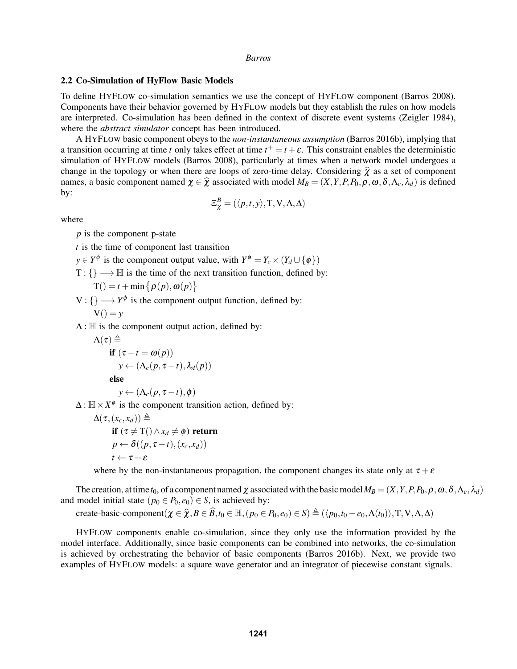#### 2.2 Co-Simulation of HyFlow Basic Models

To define HYFLOW co-simulation semantics we use the concept of HYFLOW component (Barros 2008). Components have their behavior governed by HYFLOW models but they establish the rules on how models are interpreted. Co-simulation has been defined in the context of discrete event systems (Zeigler 1984), where the *abstract simulator* concept has been introduced.

A HYFLOW basic component obeys to the *non-instantaneous assumption* (Barros 2016b), implying that a transition occurring at time *t* only takes effect at time  $t^+ = t + \varepsilon$ . This constraint enables the deterministic simulation of HYFLOW models (Barros 2008), particularly at times when a network model undergoes a change in the topology or when there are loops of zero-time delay. Considering  $\hat{\chi}$  as a set of component names, a basic component named  $\chi \in \hat{\chi}$  associated with model  $M_B = (X, Y, P, P_0, \rho, \omega, \delta, \Lambda_c, \lambda_d)$  is defined by:

$$
\Xi^B_\chi = (\langle p, t, y \rangle, \mathrm{T}, \mathrm{V}, \Lambda, \Delta)
$$

where

*p* is the component p-state

*t* is the time of component last transition

- *y* ∈ *Y*<sup> $\phi$ </sup> is the component output value, with *Y*<sup> $\phi$ </sup> = *Y<sub>c</sub>* × (*Y<sub>d</sub>* ∪ { $\phi$ })
- $T: \{\}\longrightarrow \mathbb{H}$  is the time of the next transition function, defined by:

$$
T() = t + min \{ \rho(p), \omega(p) \}
$$

 $V: \{\} \longrightarrow Y^{\phi}$  is the component output function, defined by:

$$
V() = y
$$

 $\Lambda$ : H is the component output action, defined by:

$$
\Lambda(\tau) \triangleq \qquad \text{if } (\tau - t = \omega(p))
$$
\n
$$
y \leftarrow (\Lambda_c(p, \tau - t), \lambda_d(p))
$$
\nelse\n
$$
y \leftarrow (\Lambda_c(p, \tau - t), \phi)
$$

 $\Delta: \mathbb{H} \times X^{\phi}$  is the component transition action, defined by:

$$
\Delta(\tau, (x_c, x_d)) \triangleq \qquad \text{if } (\tau \neq T() \land x_d \neq \phi) \text{ return } \newline p \leftarrow \delta((p, \tau - t), (x_c, x_d)) \newline t \leftarrow \tau + \varepsilon
$$

where by the non-instantaneous propagation, the component changes its state only at  $\tau + \varepsilon$ 

The creation, at time  $t_0$ , of a component named  $\chi$  associated with the basic model  $M_B = (X, Y, P, P_0, \rho, \omega, \delta, \Lambda_c, \lambda_d)$ and model initial state ( $p_0 \in P_0$ ,  $e_0$ )  $\in S$ , is achieved by:

create-basic-component $(\chi \in \hat{\chi}, B \in \hat{B}, t_0 \in \mathbb{H}, (p_0 \in P_0, e_0) \in S) \triangleq (\langle p_0, t_0 - e_0, \Lambda(t_0) \rangle, T, V, \Lambda, \Delta)$ 

HYFLOW components enable co-simulation, since they only use the information provided by the model interface. Additionally, since basic components can be combined into networks, the co-simulation is achieved by orchestrating the behavior of basic components (Barros 2016b). Next, we provide two examples of HYFLOW models: a square wave generator and an integrator of piecewise constant signals.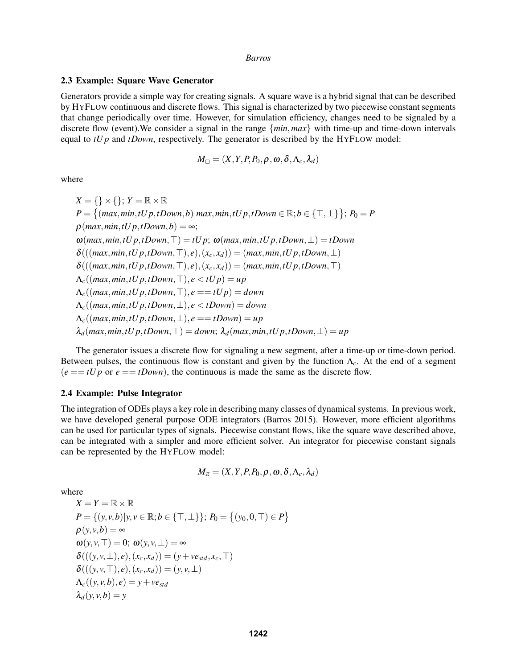#### 2.3 Example: Square Wave Generator

Generators provide a simple way for creating signals. A square wave is a hybrid signal that can be described by HYFLOW continuous and discrete flows. This signal is characterized by two piecewise constant segments that change periodically over time. However, for simulation efficiency, changes need to be signaled by a discrete flow (event).We consider a signal in the range {*min*,*max*} with time-up and time-down intervals equal to *tU p* and *tDown*, respectively. The generator is described by the HYFLOW model:

$$
M_{\square} = (X, Y, P, P_0, \rho, \omega, \delta, \Lambda_c, \lambda_d)
$$

where

$$
X = \{\} \times \{\}; Y = \mathbb{R} \times \mathbb{R}
$$
  
\n
$$
P = \{(\max, \min, tUp, tDown, b) | \max, \min, tUp, tDown \in \mathbb{R}; b \in \{\top, \bot\}\}; P_0 = P
$$
  
\n
$$
\rho(\max, \min, tUp, tDown, b) = \infty;
$$
  
\n
$$
\omega(\max, \min, tUp, tDown, \top) = tUp; \omega(\max, \min, tUp, tDown, \bot) = tDown
$$
  
\n
$$
\delta(((\max, \min, tUp, tDown, \top), e), (x_c, x_d)) = (\max, \min, tUp, tDown, \bot)
$$
  
\n
$$
\delta(((\max, \min, tUp, tDown, \top), e), (x_c, x_d)) = (\max, \min, tUp, tDown, \top)
$$
  
\n
$$
\Lambda_c((\max, \min, tUp, tDown, \top), e < tUp) = up
$$
  
\n
$$
\Lambda_c((\max, \min, tUp, tDown, \top), e = tUp) = down
$$
  
\n
$$
\Lambda_c((\max, \min, tUp, tDown, \bot), e < tDown) = down
$$
  
\n
$$
\Lambda_c((\max, \min, tUp, tDown, \bot), e = tDown) = up
$$
  
\n
$$
\lambda_d(\max, \min, tUp, tDown, \top) = down; \lambda_d(\max, \min, tUp, tDown, \bot) = up
$$

The generator issues a discrete flow for signaling a new segment, after a time-up or time-down period. Between pulses, the continuous flow is constant and given by the function  $\Lambda_c$ . At the end of a segment  $(e == tUp \text{ or } e == tDown)$ , the continuous is made the same as the discrete flow.

### 2.4 Example: Pulse Integrator

The integration of ODEs plays a key role in describing many classes of dynamical systems. In previous work, we have developed general purpose ODE integrators (Barros 2015). However, more efficient algorithms can be used for particular types of signals. Piecewise constant flows, like the square wave described above, can be integrated with a simpler and more efficient solver. An integrator for piecewise constant signals can be represented by the HYFLOW model:

$$
M_{\pi} = (X, Y, P, P_0, \rho, \omega, \delta, \Lambda_c, \lambda_d)
$$

where

$$
X = Y = \mathbb{R} \times \mathbb{R}
$$
  
\n
$$
P = \{(y, v, b) | y, v \in \mathbb{R}; b \in \{\top, \bot\}\}; P_0 = \{(y_0, 0, \top) \in P\}
$$
  
\n
$$
\rho(y, v, b) = \infty
$$
  
\n
$$
\omega(y, v, \top) = 0; \omega(y, v, \bot) = \infty
$$
  
\n
$$
\delta(((y, v, \bot), e), (x_c, x_d)) = (y + ve_{std}, x_c, \top)
$$
  
\n
$$
\delta(((y, v, \top), e), (x_c, x_d)) = (y, v, \bot)
$$
  
\n
$$
\Lambda_c((y, v, b), e) = y + ve_{std}
$$
  
\n
$$
\lambda_d(y, v, b) = y
$$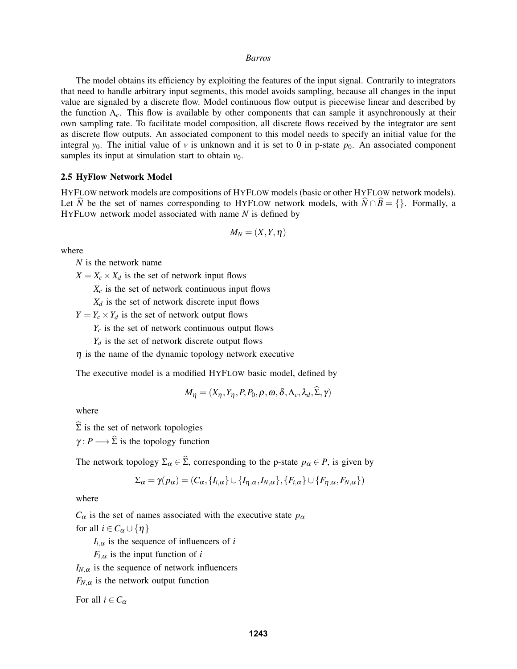The model obtains its efficiency by exploiting the features of the input signal. Contrarily to integrators that need to handle arbitrary input segments, this model avoids sampling, because all changes in the input value are signaled by a discrete flow. Model continuous flow output is piecewise linear and described by the function  $\Lambda_c$ . This flow is available by other components that can sample it asynchronously at their own sampling rate. To facilitate model composition, all discrete flows received by the integrator are sent as discrete flow outputs. An associated component to this model needs to specify an initial value for the integral  $y_0$ . The initial value of v is unknown and it is set to 0 in p-state  $p_0$ . An associated component samples its input at simulation start to obtain  $v_0$ .

### 2.5 HyFlow Network Model

HYFLOW network models are compositions of HYFLOW models (basic or other HYFLOW network models). Let *N* be the set of names corresponding to HYFLOW network models, with  $N \cap B = \{\}$ . Formally, a HYFLOW network model associated with name *N* is defined by

$$
M_N=(X,Y,\eta)
$$

where

*N* is the network name

 $X = X_c \times X_d$  is the set of network input flows

 $X_c$  is the set of network continuous input flows

 $X_d$  is the set of network discrete input flows

 $Y = Y_c \times Y_d$  is the set of network output flows

- $Y_c$  is the set of network continuous output flows
- $Y_d$  is the set of network discrete output flows
- $\eta$  is the name of the dynamic topology network executive

The executive model is a modified HYFLOW basic model, defined by

$$
M_{\eta} = (X_{\eta}, Y_{\eta}, P, P_0, \rho, \omega, \delta, \Lambda_c, \lambda_d, \Sigma, \gamma)
$$

where

 $\widehat{\Sigma}$  is the set of network topologies

 $\gamma: P \longrightarrow \widehat{\Sigma}$  is the topology function

The network topology  $\Sigma_{\alpha} \in \widehat{\Sigma}$ , corresponding to the p-state  $p_{\alpha} \in P$ , is given by

$$
\Sigma_{\alpha} = \gamma(p_{\alpha}) = (C_{\alpha}, \{I_{i,\alpha}\} \cup \{I_{\eta,\alpha}, I_{N,\alpha}\}, \{F_{i,\alpha}\} \cup \{F_{\eta,\alpha}, F_{N,\alpha}\})
$$

where

 $C_{\alpha}$  is the set of names associated with the executive state  $p_{\alpha}$ for all  $i \in C_\alpha \cup \{\eta\}$ 

 $I_{i,\alpha}$  is the sequence of influencers of *i* 

 $F_{i,\alpha}$  is the input function of *i* 

 $I_{N,\alpha}$  is the sequence of network influencers

 $F_{N,\alpha}$  is the network output function

For all  $i \in C_\alpha$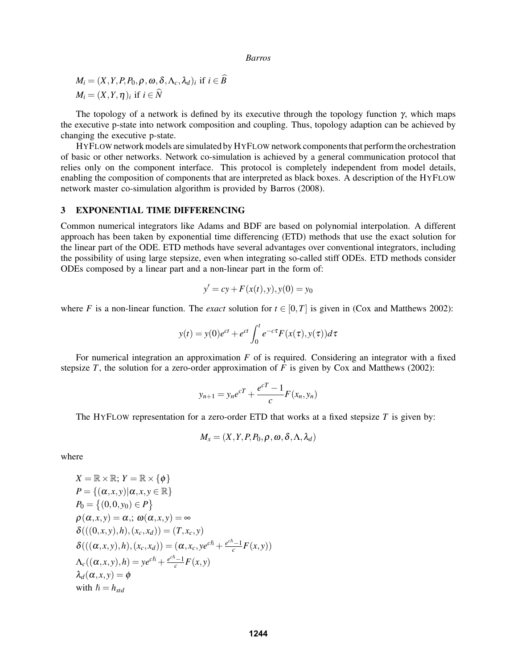$$
M_i = (X, Y, P, P_0, \rho, \omega, \delta, \Lambda_c, \lambda_d)_i \text{ if } i \in \tilde{B} M_i = (X, Y, \eta)_i \text{ if } i \in \tilde{N}
$$

The topology of a network is defined by its executive through the topology function  $\gamma$ , which maps the executive p-state into network composition and coupling. Thus, topology adaption can be achieved by changing the executive p-state.

HYFLOW network models are simulated by HYFLOW network components that perform the orchestration of basic or other networks. Network co-simulation is achieved by a general communication protocol that relies only on the component interface. This protocol is completely independent from model details, enabling the composition of components that are interpreted as black boxes. A description of the HYFLOW network master co-simulation algorithm is provided by Barros (2008).

# 3 EXPONENTIAL TIME DIFFERENCING

Common numerical integrators like Adams and BDF are based on polynomial interpolation. A different approach has been taken by exponential time differencing (ETD) methods that use the exact solution for the linear part of the ODE. ETD methods have several advantages over conventional integrators, including the possibility of using large stepsize, even when integrating so-called stiff ODEs. ETD methods consider ODEs composed by a linear part and a non-linear part in the form of:

$$
y' = cy + F(x(t), y), y(0) = y_0
$$

where *F* is a non-linear function. The *exact* solution for  $t \in [0, T]$  is given in (Cox and Matthews 2002):

$$
y(t) = y(0)e^{ct} + e^{ct} \int_0^t e^{-c\tau} F(x(\tau), y(\tau))d\tau
$$

For numerical integration an approximation *F* of is required. Considering an integrator with a fixed stepsize *T*, the solution for a zero-order approximation of *F* is given by Cox and Matthews (2002):

$$
y_{n+1} = y_n e^{cT} + \frac{e^{cT} - 1}{c} F(x_n, y_n)
$$

The HYFLOW representation for a zero-order ETD that works at a fixed stepsize  $T$  is given by:

$$
M_x = (X, Y, P, P_0, \rho, \omega, \delta, \Lambda, \lambda_d)
$$

where

$$
X = \mathbb{R} \times \mathbb{R}; Y = \mathbb{R} \times \{\phi\}
$$
  
\n
$$
P = \{(\alpha, x, y) | \alpha, x, y \in \mathbb{R}\}
$$
  
\n
$$
P_0 = \{(0, 0, y_0) \in P\}
$$
  
\n
$$
\rho(\alpha, x, y) = \alpha,; \omega(\alpha, x, y) = \infty
$$
  
\n
$$
\delta(((0, x, y), h), (x_c, x_d)) = (T, x_c, y)
$$
  
\n
$$
\delta(((\alpha, x, y), h), (x_c, x_d)) = (\alpha, x_c, y e^{c\hbar} + \frac{e^{c\hbar} - 1}{c} F(x, y))
$$
  
\n
$$
\Lambda_c((\alpha, x, y), h) = y e^{c\hbar} + \frac{e^{c\hbar} - 1}{c} F(x, y)
$$
  
\n
$$
\lambda_d(\alpha, x, y) = \phi
$$
  
\nwith  $\hbar = h_{std}$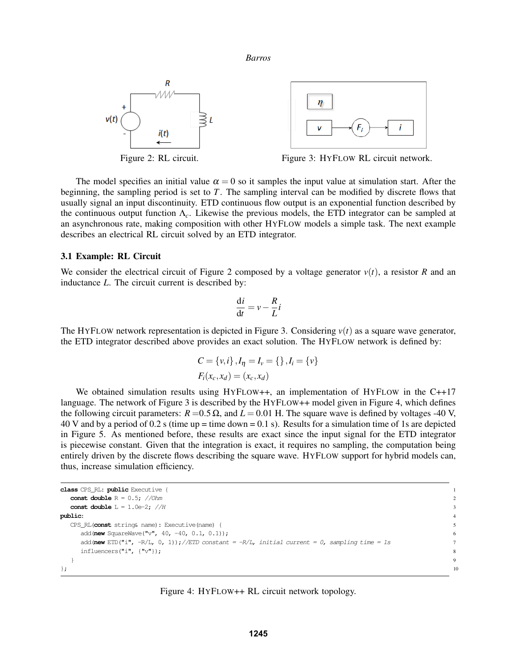

The model specifies an initial value  $\alpha = 0$  so it samples the input value at simulation start. After the beginning, the sampling period is set to *T*. The sampling interval can be modified by discrete flows that usually signal an input discontinuity. ETD continuous flow output is an exponential function described by the continuous output function Λ*c*. Likewise the previous models, the ETD integrator can be sampled at an asynchronous rate, making composition with other HYFLOW models a simple task. The next example describes an electrical RL circuit solved by an ETD integrator.

#### 3.1 Example: RL Circuit

We consider the electrical circuit of Figure 2 composed by a voltage generator  $v(t)$ , a resistor *R* and an inductance *L*. The circuit current is described by:

$$
\frac{\mathrm{d}i}{\mathrm{d}t} = v - \frac{R}{L}i
$$

The HYFLOW network representation is depicted in Figure 3. Considering  $v(t)$  as a square wave generator, the ETD integrator described above provides an exact solution. The HYFLOW network is defined by:

$$
C = \{v, i\}, I_{\eta} = I_{v} = \{\}, I_{i} = \{v\}
$$

$$
F_{i}(x_{c}, x_{d}) = (x_{c}, x_{d})
$$

We obtained simulation results using HYFLOW++, an implementation of HYFLOW in the C++17 language. The network of Figure 3 is described by the HYFLOW++ model given in Figure 4, which defines the following circuit parameters:  $R = 0.5 \Omega$ , and  $L = 0.01$  H. The square wave is defined by voltages -40 V, 40 V and by a period of 0.2 s (time up = time down = 0.1 s). Results for a simulation time of 1s are depicted in Figure 5. As mentioned before, these results are exact since the input signal for the ETD integrator is piecewise constant. Given that the integration is exact, it requires no sampling, the computation being entirely driven by the discrete flows describing the square wave. HYFLOW support for hybrid models can, thus, increase simulation efficiency.

```
class CPS_RL: public Executive { 1
 const double R = 0.5; //Ohm
 const double L = 1.0e-2; //Hpublic: 4
 CPS_RL(const string& name): Executive(name) { 5
  add(new SquareWave("v", 40, -40, 0.1, 0.1)); 6
  add (new ETD("i", -R/L, 0, 1));//ETD constant = -R/L, initial current = 0, sampling time = 1s 7
  influencers("i", \{"\mathbf{v}"); 8
 } 9
\};
```
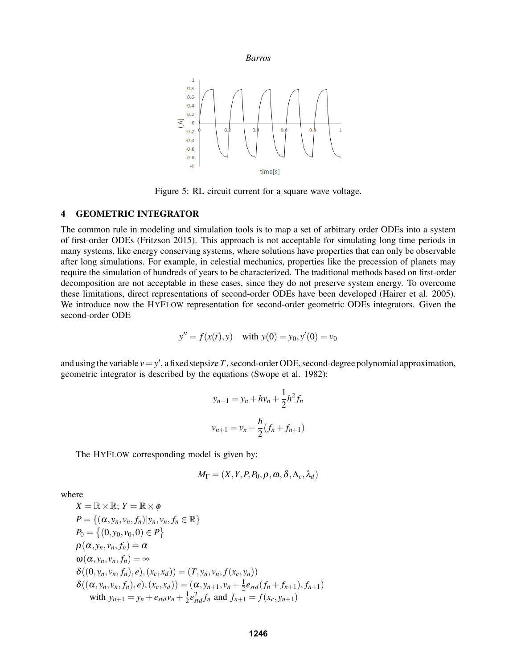



Figure 5: RL circuit current for a square wave voltage.

# 4 GEOMETRIC INTEGRATOR

The common rule in modeling and simulation tools is to map a set of arbitrary order ODEs into a system of first-order ODEs (Fritzson 2015). This approach is not acceptable for simulating long time periods in many systems, like energy conserving systems, where solutions have properties that can only be observable after long simulations. For example, in celestial mechanics, properties like the precession of planets may require the simulation of hundreds of years to be characterized. The traditional methods based on first-order decomposition are not acceptable in these cases, since they do not preserve system energy. To overcome these limitations, direct representations of second-order ODEs have been developed (Hairer et al. 2005). We introduce now the HYFLOW representation for second-order geometric ODEs integrators. Given the second-order ODE

$$
y'' = f(x(t), y)
$$
 with  $y(0) = y_0, y'(0) = v_0$ 

and using the variable  $v = y'$ , a fixed stepsize T, second-order ODE, second-degree polynomial approximation, geometric integrator is described by the equations (Swope et al. 1982):

$$
y_{n+1} = y_n + hv_n + \frac{1}{2}h^2 f_n
$$
  

$$
v_{n+1} = v_n + \frac{h}{2}(f_n + f_{n+1})
$$

The HYFLOW corresponding model is given by:

$$
M_{\Gamma} = (X, Y, P, P_0, \rho, \omega, \delta, \Lambda_c, \lambda_d)
$$

where

$$
X = \mathbb{R} \times \mathbb{R}; Y = \mathbb{R} \times \phi
$$
  
\n
$$
P = \{ (\alpha, y_n, v_n, f_n) | y_n, v_n, f_n \in \mathbb{R} \}
$$
  
\n
$$
P_0 = \{ (0, y_0, v_0, 0) \in P \}
$$
  
\n
$$
\rho(\alpha, y_n, v_n, f_n) = \alpha
$$
  
\n
$$
\omega(\alpha, y_n, v_n, f_n) = \infty
$$
  
\n
$$
\delta((0, y_n, v_n, f_n), e), (x_c, x_d)) = (T, y_n, v_n, f(x_c, y_n))
$$
  
\n
$$
\delta((\alpha, y_n, v_n, f_n), e), (x_c, x_d)) = (\alpha, y_{n+1}, v_n + \frac{1}{2}e_{std}(f_n + f_{n+1}), f_{n+1})
$$
  
\nwith  $y_{n+1} = y_n + e_{std}v_n + \frac{1}{2}e_{std}^2f_n$  and  $f_{n+1} = f(x_c, y_{n+1})$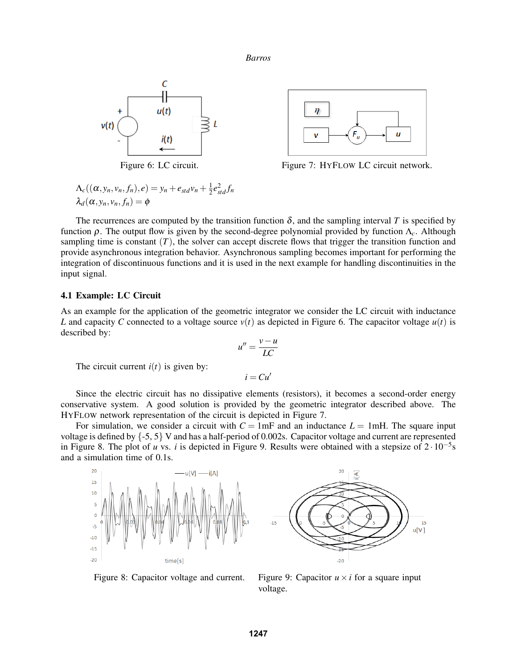



Figure 6: LC circuit. Figure 7: HYFLOW LC circuit network.

$$
\Lambda_c((\alpha, y_n, v_n, f_n), e) = y_n + e_{std}v_n + \frac{1}{2}e_{std}^2 f_n
$$
  

$$
\lambda_d(\alpha, y_n, v_n, f_n) = \phi
$$

The recurrences are computed by the transition function  $\delta$ , and the sampling interval T is specified by function ρ. The output flow is given by the second-degree polynomial provided by function Λ*c*. Although sampling time is constant  $(T)$ , the solver can accept discrete flows that trigger the transition function and provide asynchronous integration behavior. Asynchronous sampling becomes important for performing the integration of discontinuous functions and it is used in the next example for handling discontinuities in the input signal.

# 4.1 Example: LC Circuit

As an example for the application of the geometric integrator we consider the LC circuit with inductance *L* and capacity *C* connected to a voltage source  $v(t)$  as depicted in Figure 6. The capacitor voltage  $u(t)$  is described by:

$$
u'' = \frac{v - u}{LC}
$$

The circuit current  $i(t)$  is given by:

 $i = Cu'$ 

Since the electric circuit has no dissipative elements (resistors), it becomes a second-order energy conservative system. A good solution is provided by the geometric integrator described above. The HYFLOW network representation of the circuit is depicted in Figure 7.

For simulation, we consider a circuit with  $C = 1mF$  and an inductance  $L = 1mH$ . The square input voltage is defined by {-5, 5} V and has a half-period of 0.002s. Capacitor voltage and current are represented in Figure 8. The plot of *u* vs. *i* is depicted in Figure 9. Results were obtained with a stepsize of 2 · 10−<sup>5</sup> s and a simulation time of 0.1s.





Figure 8: Capacitor voltage and current. Figure 9: Capacitor  $u \times i$  for a square input

voltage.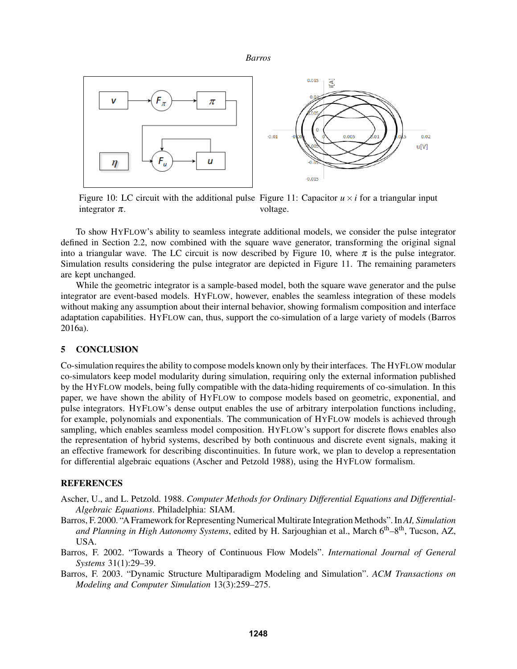

Figure 10: LC circuit with the additional pulse Figure 11: Capacitor  $u \times i$  for a triangular input integrator  $\pi$ . voltage.

To show HYFLOW's ability to seamless integrate additional models, we consider the pulse integrator defined in Section 2.2, now combined with the square wave generator, transforming the original signal into a triangular wave. The LC circuit is now described by Figure 10, where  $\pi$  is the pulse integrator. Simulation results considering the pulse integrator are depicted in Figure 11. The remaining parameters are kept unchanged.

While the geometric integrator is a sample-based model, both the square wave generator and the pulse integrator are event-based models. HYFLOW, however, enables the seamless integration of these models without making any assumption about their internal behavior, showing formalism composition and interface adaptation capabilities. HYFLOW can, thus, support the co-simulation of a large variety of models (Barros 2016a).

### 5 CONCLUSION

Co-simulation requires the ability to compose models known only by their interfaces. The HYFLOW modular co-simulators keep model modularity during simulation, requiring only the external information published by the HYFLOW models, being fully compatible with the data-hiding requirements of co-simulation. In this paper, we have shown the ability of HYFLOW to compose models based on geometric, exponential, and pulse integrators. HYFLOW's dense output enables the use of arbitrary interpolation functions including, for example, polynomials and exponentials. The communication of HYFLOW models is achieved through sampling, which enables seamless model composition. HYFLOW's support for discrete flows enables also the representation of hybrid systems, described by both continuous and discrete event signals, making it an effective framework for describing discontinuities. In future work, we plan to develop a representation for differential algebraic equations (Ascher and Petzold 1988), using the HYFLOW formalism.

### REFERENCES

- Ascher, U., and L. Petzold. 1988. *Computer Methods for Ordinary Differential Equations and Differential-Algebraic Equations*. Philadelphia: SIAM.
- Barros, F. 2000. "A Framework for Representing Numerical Multirate Integration Methods". In *AI, Simulation and Planning in High Autonomy Systems*, edited by H. Sarjoughian et al., March 6th–8th, Tucson, AZ, USA.
- Barros, F. 2002. "Towards a Theory of Continuous Flow Models". *International Journal of General Systems* 31(1):29–39.
- Barros, F. 2003. "Dynamic Structure Multiparadigm Modeling and Simulation". *ACM Transactions on Modeling and Computer Simulation* 13(3):259–275.